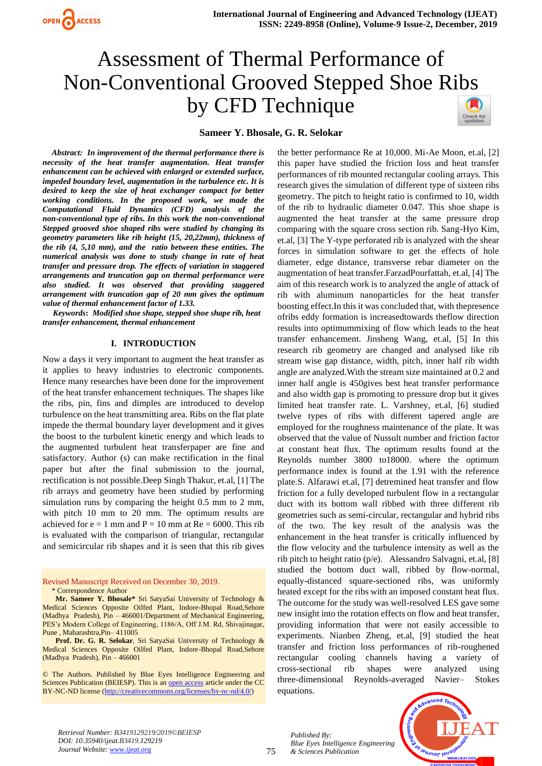

# Assessment of Thermal Performance of Non-Conventional Grooved Stepped Shoe Ribs by CFD Technique

#### **Sameer Y. Bhosale, G. R. Selokar**

 *Abstract: In improvement of the thermal performance there is necessity of the heat transfer augmentation. Heat transfer enhancement can be achieved with enlarged or extended surface, impeded boundary level, augmentation in the turbulence etc. It is desired to keep the size of heat exchanger compact for better working conditions. In the proposed work, we made the Computational Fluid Dynamics (CFD) analysis of the non-conventional type of ribs. In this work the non-conventional Stepped grooved shoe shaped ribs were studied by changing its geometry parameters like rib height (15, 20,22mm), thickness of the rib (4, 5,10 mm), and the ratio between these entities. The numerical analysis was done to study change in rate of heat transfer and pressure drop. The effects of variation in staggered arrangements and truncation gap on thermal performance were also studied. It was observed that providing staggered arrangement with truncation gap of 20 mm gives the optimum value of thermal enhancement factor of 1.33.*

 *Keywords***:** *Modified shoe shape, stepped shoe shape rib, heat transfer enhancement, thermal enhancement*

#### **I. INTRODUCTION**

Now a days it very important to augment the heat transfer as it applies to heavy industries to electronic components. Hence many researches have been done for the improvement of the heat transfer enhancement techniques. The shapes like the ribs, pin, fins and dimples are introduced to develop turbulence on the heat transmitting area. Ribs on the flat plate impede the thermal boundary layer development and it gives the boost to the turbulent kinetic energy and which leads to the augmented turbulent heat transferpaper are fine and satisfactory. Author (s) can make rectification in the final paper but after the final submission to the journal, rectification is not possible.Deep Singh Thakur, et.al, [1] The rib arrays and geometry have been studied by performing simulation runs by comparing the height 0.5 mm to 2 mm, with pitch 10 mm to 20 mm. The optimum results are achieved for  $e = 1$  mm and  $P = 10$  mm at  $Re = 6000$ . This rib is evaluated with the comparison of triangular, rectangular and semicircular rib shapes and it is seen that this rib gives

Revised Manuscript Received on December 30, 2019. \* Correspondence Author

**Mr. Sameer Y. Bhosale\*** Sri SatyaSai University of Technology & Medical Sciences Opposite Oilfed Plant, Indore-Bhopal Road,Sehore (Madhya Pradesh), Pin – 466001/Department of Mechanical Engineering, PES's Modern College of Engineering, 1186/A, Off J.M. Rd, Shivajinagar, Pune , Maharashtra,Pin– 411005

**Prof. Dr. G. R. Selokar**, Sri SatyaSai University of Technology & Medical Sciences Opposite Oilfed Plant, Indore-Bhopal Road,Sehore (Madhya Pradesh), Pin – 466001

© The Authors. Published by Blue Eyes Intelligence Engineering and Sciences Publication (BEIESP). This is a[n open access](https://www.openaccess.nl/en/open-publications) article under the CC BY-NC-ND license [\(http://creativecommons.org/licenses/by-nc-nd/4.0/\)](http://creativecommons.org/licenses/by-nc-nd/4.0/)

the better performance Re at 10,000. Mi-Ae Moon, et.al, [2] this paper have studied the friction loss and heat transfer performances of rib mounted rectangular cooling arrays. This research gives the simulation of different type of sixteen ribs geometry. The pitch to height ratio is confirmed to 10, width of the rib to hydraulic diameter 0.047. This shoe shape is augmented the heat transfer at the same pressure drop comparing with the square cross section rib. Sang-Hyo Kim, et.al, [3] The Y-type perforated rib is analyzed with the shear forces in simulation software to get the effects of hole diameter, edge distance, transverse rebar diameter on the augmentation of heat transfer.FarzadPourfattah, et.al, [4] The aim of this research work is to analyzed the angle of attack of rib with aluminum nanoparticles for the heat transfer boosting effect.In this it was concluded that, with thepresence ofribs eddy formation is increasedtowards theflow direction results into optimummixing of flow which leads to the heat transfer enhancement. Jinsheng Wang, et.al, [5] In this research rib geometry are changed and analysed like rib stream wise gap distance, width, pitch, inner half rib width angle are analyzed.With the stream size maintained at 0.2 and inner half angle is 450gives best heat transfer performance and also width gap is promoting to pressure drop but it gives limited heat transfer rate. L. Varshney, et.al, [6] studied twelve types of ribs with different tapered angle are employed for the roughness maintenance of the plate. It was observed that the value of Nussult number and friction factor at constant heat flux. The optimum results found at the Reynolds number 3800 to18000. where the optimum performance index is found at the 1.91 with the reference plate.S. Alfarawi et.al, [7] detremined heat transfer and flow friction for a fully developed turbulent flow in a rectangular duct with its bottom wall ribbed with three different rib geometries such as semi-circular, rectangular and hybrid ribs of the two. The key result of the analysis was the enhancement in the heat transfer is critically influenced by the flow velocity and the turbulence intensity as well as the rib pitch to height ratio (p/e). Alessandro Salvagni, et.al, [8] studied the bottom duct wall, ribbed by flow-normal, equally-distanced square-sectioned ribs, was uniformly heated except for the ribs with an imposed constant heat flux. The outcome for the study was well-resolved LES gave some new insight into the rotation effects on flow and heat transfer, providing information that were not easily accessible to experiments. Nianben Zheng, et.al, [9] studied the heat transfer and friction loss performances of rib-roughened rectangular cooling channels having a variety of cross-sectional rib shapes were analyzed using three-dimensional Reynolds-averaged Navier– Stokes equations.

*Retrieval Number: B3419129219/2019©BEIESP DOI: 10.35940/ijeat.B3419.129219 Journal Website[: www.ijeat.org](http://www.ijeat.org/)*

*Blue Eyes Intelligence Engineering & Sciences Publication* 

*Published By:*

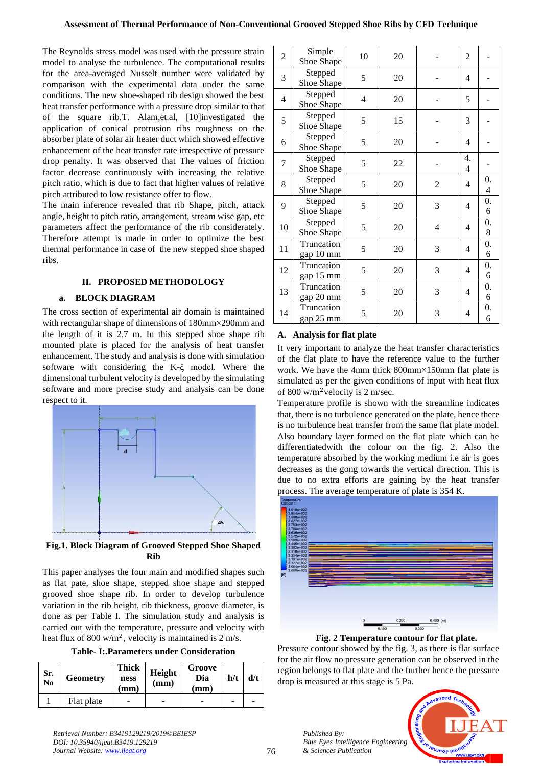The Reynolds stress model was used with the pressure strain model to analyse the turbulence. The computational results for the area-averaged Nusselt number were validated by comparison with the experimental data under the same conditions. The new shoe-shaped rib design showed the best heat transfer performance with a pressure drop similar to that of the square rib.T. Alam,et.al, [10]investigated the application of conical protrusion ribs roughness on the absorber plate of solar air heater duct which showed effective enhancement of the heat transfer rate irrespective of pressure drop penalty. It was observed that The values of friction factor decrease continuously with increasing the relative pitch ratio, which is due to fact that higher values of relative pitch attributed to low resistance offer to flow.

The main inference revealed that rib Shape, pitch, attack angle, height to pitch ratio, arrangement, stream wise gap, etc parameters affect the performance of the rib considerately. Therefore attempt is made in order to optimize the best thermal performance in case of the new stepped shoe shaped ribs.

# **II. PROPOSED METHODOLOGY**

# **a. BLOCK DIAGRAM**

The cross section of experimental air domain is maintained with rectangular shape of dimensions of 180mm×290mm and the length of it is 2.7 m. In this stepped shoe shape rib mounted plate is placed for the analysis of heat transfer enhancement. The study and analysis is done with simulation software with considering the K-ξ model. Where the dimensional turbulent velocity is developed by the simulating software and more precise study and analysis can be done respect to it.



**Fig.1. Block Diagram of Grooved Stepped Shoe Shaped Rib**

This paper analyses the four main and modified shapes such as flat pate, shoe shape, stepped shoe shape and stepped grooved shoe shape rib. In order to develop turbulence variation in the rib height, rib thickness, groove diameter, is done as per Table I. The simulation study and analysis is carried out with the temperature, pressure and velocity with heat flux of 800 w/m<sup>2</sup>, velocity is maintained is 2 m/s.

**Table- I:.Parameters under Consideration**

| Sr.<br>N <sub>0</sub> | <b>Geometry</b> | <b>Thick</b><br>ness<br>(mm) | Height<br>(mm) | Groove<br>Dia<br>(mm) | h/t | d/t |
|-----------------------|-----------------|------------------------------|----------------|-----------------------|-----|-----|
|                       | Flat plate      |                              |                |                       |     |     |

| $\overline{c}$ | Simple<br>Shoe Shape    | 10 | 20 |   | $\overline{c}$        |                         |
|----------------|-------------------------|----|----|---|-----------------------|-------------------------|
| 3              | Stepped<br>Shoe Shape   | 5  | 20 |   | 4                     |                         |
| 4              | Stepped<br>Shoe Shape   | 4  | 20 |   | 5                     |                         |
| 5              | Stepped<br>Shoe Shape   | 5  | 15 |   | 3                     |                         |
| 6              | Stepped<br>Shoe Shape   | 5  | 20 |   | 4                     |                         |
| 7              | Stepped<br>Shoe Shape   | 5  | 22 |   | $\overline{4}$ .<br>4 |                         |
| 8              | Stepped<br>Shoe Shape   | 5  | 20 | 2 | 4                     | 0.<br>$\overline{4}$    |
| 9              | Stepped<br>Shoe Shape   | 5  | 20 | 3 | 4                     | $\overline{0}$ .<br>6   |
| 10             | Stepped<br>Shoe Shape   | 5  | 20 | 4 | 4                     | 0.<br>8                 |
| 11             | Truncation<br>gap 10 mm | 5  | 20 | 3 | 4                     | $\boldsymbol{0}$ .<br>6 |
| 12             | Truncation<br>gap 15 mm | 5  | 20 | 3 | 4                     | 0.<br>6                 |
| 13             | Truncation<br>gap 20 mm | 5  | 20 | 3 | 4                     | 0.<br>6                 |
| 14             | Truncation<br>gap 25 mm | 5  | 20 | 3 | 4                     | 0.<br>6                 |

# **A. Analysis for flat plate**

It very important to analyze the heat transfer characteristics of the flat plate to have the reference value to the further work. We have the 4mm thick 800mm×150mm flat plate is simulated as per the given conditions of input with heat flux of 800 w/m<sup>2</sup>velocity is 2 m/sec.

Temperature profile is shown with the streamline indicates that, there is no turbulence generated on the plate, hence there is no turbulence heat transfer from the same flat plate model. Also boundary layer formed on the flat plate which can be differentiatedwith the colour on the fig. 2. Also the temperature absorbed by the working medium i.e air is goes decreases as the gong towards the vertical direction. This is due to no extra efforts are gaining by the heat transfer process. The average temperature of plate is 354 K.



**Fig. 2 Temperature contour for flat plate.**

Pressure contour showed by the fig. 3, as there is flat surface for the air flow no pressure generation can be observed in the region belongs to flat plate and the further hence the pressure drop is measured at this stage is 5 Pa.



*Published By:*

*& Sciences Publication*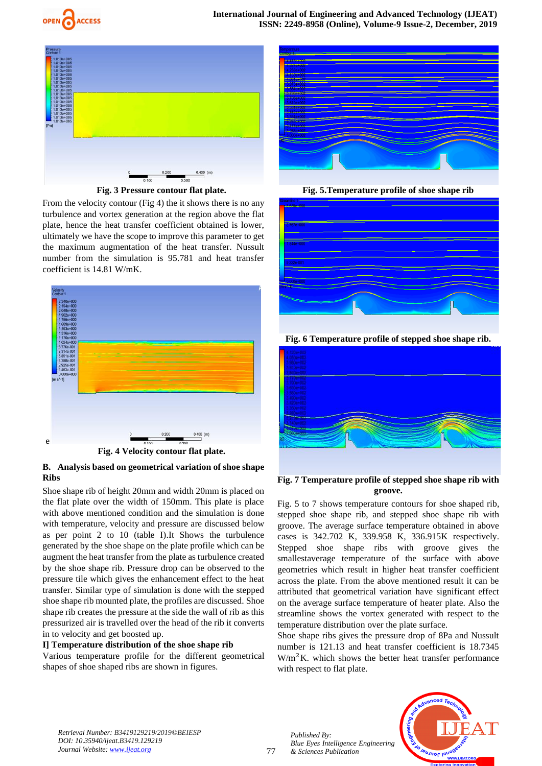



**Fig. 3 Pressure contour flat plate.**

From the velocity contour (Fig 4) the it shows there is no any turbulence and vortex generation at the region above the flat plate, hence the heat transfer coefficient obtained is lower, ultimately we have the scope to improve this parameter to get the maximum augmentation of the heat transfer. Nussult number from the simulation is 95.781 and heat transfer coefficient is 14.81 W/mK.



**Fig. 4 Velocity contour flat plate.**

# **B. Analysis based on geometrical variation of shoe shape Ribs**

Shoe shape rib of height 20mm and width 20mm is placed on the flat plate over the width of 150mm. This plate is place with above mentioned condition and the simulation is done with temperature, velocity and pressure are discussed below as per point 2 to 10 (table I).It Shows the turbulence generated by the shoe shape on the plate profile which can be augment the heat transfer from the plate as turbulence created by the shoe shape rib. Pressure drop can be observed to the pressure tile which gives the enhancement effect to the heat transfer. Similar type of simulation is done with the stepped shoe shape rib mounted plate, the profiles are discussed. Shoe shape rib creates the pressure at the side the wall of rib as this pressurized air is travelled over the head of the rib it converts in to velocity and get boosted up.

# **I] Temperature distribution of the shoe shape rib**

Various temperature profile for the different geometrical shapes of shoe shaped ribs are shown in figures.



**Fig. 5.Temperature profile of shoe shape rib**



**Fig. 6 Temperature profile of stepped shoe shape rib.**



# **Fig. 7 Temperature profile of stepped shoe shape rib with groove.**

Fig. 5 to 7 shows temperature contours for shoe shaped rib, stepped shoe shape rib, and stepped shoe shape rib with groove. The average surface temperature obtained in above cases is 342.702 K, 339.958 K, 336.915K respectively. Stepped shoe shape ribs with groove gives the smallestaverage temperature of the surface with above geometries which result in higher heat transfer coefficient across the plate. From the above mentioned result it can be attributed that geometrical variation have significant effect on the average surface temperature of heater plate. Also the streamline shows the vortex generated with respect to the temperature distribution over the plate surface.

Shoe shape ribs gives the pressure drop of 8Pa and Nussult number is 121.13 and heat transfer coefficient is 18.7345  $W/m<sup>2</sup>K$ . which shows the better heat transfer performance with respect to flat plate.

*Retrieval Number: B3419129219/2019©BEIESP DOI: 10.35940/ijeat.B3419.129219 Journal Website[: www.ijeat.org](http://www.ijeat.org/)*

77

*Published By: Blue Eyes Intelligence Engineering & Sciences Publication* 

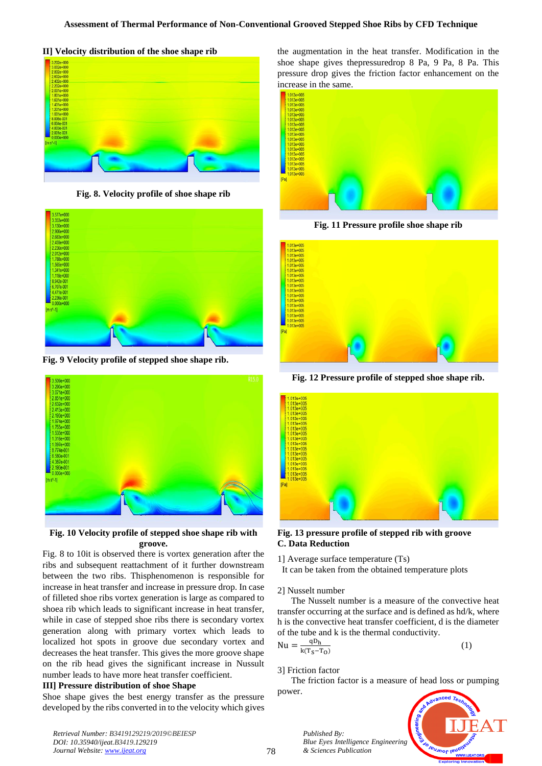**II] Velocity distribution of the shoe shape rib** 



**Fig. 8. Velocity profile of shoe shape rib**



**Fig. 9 Velocity profile of stepped shoe shape rib.**



**Fig. 10 Velocity profile of stepped shoe shape rib with groove.**

Fig. 8 to 10it is observed there is vortex generation after the ribs and subsequent reattachment of it further downstream between the two ribs. Thisphenomenon is responsible for increase in heat transfer and increase in pressure drop. In case of filleted shoe ribs vortex generation is large as compared to shoea rib which leads to significant increase in heat transfer, while in case of stepped shoe ribs there is secondary vortex generation along with primary vortex which leads to localized hot spots in groove due secondary vortex and decreases the heat transfer. This gives the more groove shape on the rib head gives the significant increase in Nussult number leads to have more heat transfer coefficient.

# **III] Pressure distribution of shoe Shape**

Shoe shape gives the best energy transfer as the pressure developed by the ribs converted in to the velocity which gives the augmentation in the heat transfer. Modification in the shoe shape gives thepressuredrop 8 Pa, 9 Pa, 8 Pa. This pressure drop gives the friction factor enhancement on the increase in the same.



**Fig. 11 Pressure profile shoe shape rib**



**Fig. 12 Pressure profile of stepped shoe shape rib.**



**Fig. 13 pressure profile of stepped rib with groove C. Data Reduction**

1] Average surface temperature (Ts) It can be taken from the obtained temperature plots

# 2] Nusselt number

 The Nusselt number is a measure of the convective heat transfer occurring at the surface and is defined as hd/k, where h is the convective heat transfer coefficient, d is the diameter of the tube and k is the thermal conductivity.

$$
= \frac{qD_h}{k(T_S - T_0)}
$$

3] Friction factor

 $Nu$ 

*Published By:*

*& Sciences Publication* 

 The friction factor is a measure of head loss or pumping power.



(1)

*Retrieval Number: B3419129219/2019©BEIESP DOI: 10.35940/ijeat.B3419.129219 Journal Website[: www.ijeat.org](http://www.ijeat.org/)*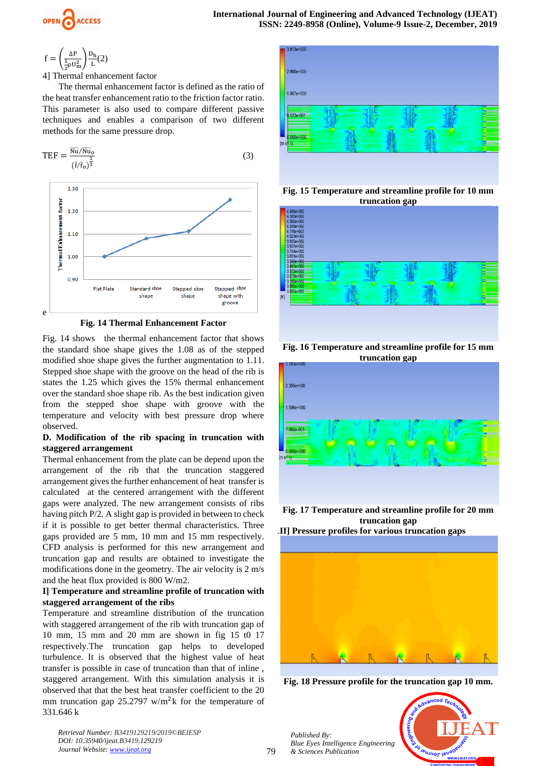

$$
f = \left(\frac{\Delta P}{\frac{1}{2}\rho U_m^2}\right) \frac{D_h}{L}(2)
$$

4] Thermal enhancement factor

 The thermal enhancement factor is defined as the ratio of the heat transfer enhancement ratio to the friction factor ratio. This parameter is also used to compare different passive techniques and enables a comparison of two different methods for the same pressure drop.



**Fig. 14 Thermal Enhancement Factor**

Fig. 14 shows the thermal enhancement factor that shows the standard shoe shape gives the 1.08 as of the stepped modified shoe shape gives the further augmentation to 1.11. Stepped shoe shape with the groove on the head of the rib is states the 1.25 which gives the 15% thermal enhancement over the standard shoe shape rib. As the best indication given from the stepped shoe shape with groove with the temperature and velocity with best pressure drop where observed.

# **D. Modification of the rib spacing in truncation with staggered arrangement**

Thermal enhancement from the plate can be depend upon the arrangement of the rib that the truncation staggered arrangement gives the further enhancement of heat transfer is calculated at the centered arrangement with the different gaps were analyzed. The new arrangement consists of ribs having pitch P/2. A slight gap is provided in between to check if it is possible to get better thermal characteristics. Three gaps provided are 5 mm, 10 mm and 15 mm respectively. CFD analysis is performed for this new arrangement and truncation gap and results are obtained to investigate the modifications done in the geometry. The air velocity is 2 m/s and the heat flux provided is 800 W/m2.

# **I] Temperature and streamline profile of truncation with staggered arrangement of the ribs**

Temperature and streamline distribution of the truncation with staggered arrangement of the rib with truncation gap of 10 mm, 15 mm and 20 mm are shown in fig 15 t0 17 respectively.The truncation gap helps to developed turbulence. It is observed that the highest value of heat transfer is possible in case of truncation than that of inline , staggered arrangement. With this simulation analysis it is observed that that the best heat transfer coefficient to the 20 mm truncation gap  $25.2797$  w/m<sup>2</sup>k for the temperature of 331.646 k



**Fig. 15 Temperature and streamline profile for 10 mm truncation gap**



**Fig. 16 Temperature and streamline profile for 15 mm truncation gap**



**Fig. 17 Temperature and streamline profile for 20 mm truncation gap**





**Fig. 18 Pressure profile for the truncation gap 10 mm.**

*Retrieval Number: B3419129219/2019©BEIESP DOI: 10.35940/ijeat.B3419.129219 Journal Website[: www.ijeat.org](http://www.ijeat.org/)*

*Published By: Blue Eyes Intelligence Engineering & Sciences Publication* 

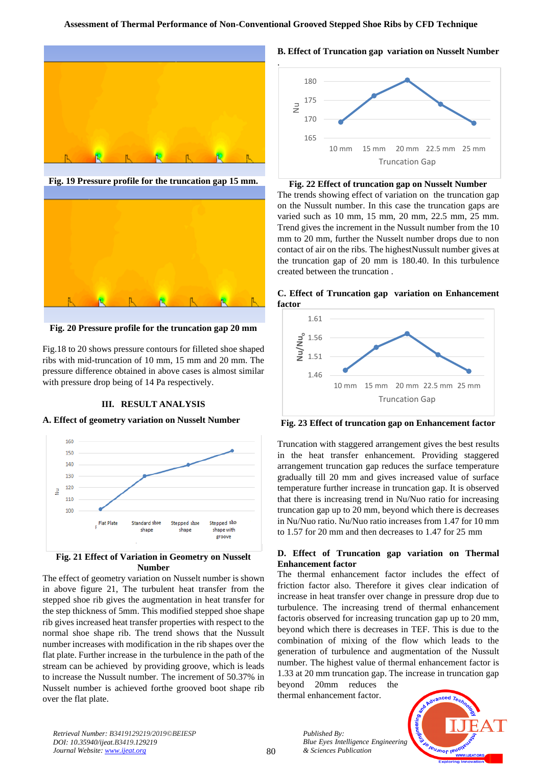

**Fig. 19 Pressure profile for the truncation gap 15 mm.**



**Fig. 20 Pressure profile for the truncation gap 20 mm**

Fig.18 to 20 shows pressure contours for filleted shoe shaped ribs with mid-truncation of 10 mm, 15 mm and 20 mm. The pressure difference obtained in above cases is almost similar with pressure drop being of 14 Pa respectively.

#### **III. RESULT ANALYSIS**

# **A. Effect of geometry variation on Nusselt Number**



# **Number** The effect of geometry variation on Nusselt number is shown

in above figure 21, The turbulent heat transfer from the stepped shoe rib gives the augmentation in heat transfer for the step thickness of 5mm. This modified stepped shoe shape rib gives increased heat transfer properties with respect to the normal shoe shape rib. The trend shows that the Nussult number increases with modification in the rib shapes over the flat plate. Further increase in the turbulence in the path of the stream can be achieved by providing groove, which is leads to increase the Nussult number. The increment of 50.37% in Nusselt number is achieved forthe grooved boot shape rib over the flat plate.

# **B. Effect of Truncation gap variation on Nusselt Number**



#### **Fig. 22 Effect of truncation gap on Nusselt Number**

The trends showing effect of variation on the truncation gap on the Nussult number. In this case the truncation gaps are varied such as 10 mm, 15 mm, 20 mm, 22.5 mm, 25 mm. Trend gives the increment in the Nussult number from the 10 mm to 20 mm, further the Nusselt number drops due to non contact of air on the ribs. The highestNussult number gives at the truncation gap of 20 mm is 180.40. In this turbulence created between the truncation .





**Fig. 23 Effect of truncation gap on Enhancement factor**

Truncation with staggered arrangement gives the best results in the heat transfer enhancement. Providing staggered arrangement truncation gap reduces the surface temperature gradually till 20 mm and gives increased value of surface temperature further increase in truncation gap. It is observed that there is increasing trend in Nu/Nuo ratio for increasing truncation gap up to 20 mm, beyond which there is decreases in Nu/Nuo ratio. Nu/Nuo ratio increases from 1.47 for 10 mm to 1.57 for 20 mm and then decreases to 1.47 for 25 mm

#### **D. Effect of Truncation gap variation on Thermal Enhancement factor**

The thermal enhancement factor includes the effect of friction factor also. Therefore it gives clear indication of increase in heat transfer over change in pressure drop due to turbulence. The increasing trend of thermal enhancement factoris observed for increasing truncation gap up to 20 mm, beyond which there is decreases in TEF. This is due to the combination of mixing of the flow which leads to the generation of turbulence and augmentation of the Nussult number. The highest value of thermal enhancement factor is 1.33 at 20 mm truncation gap. The increase in truncation gap beyond 20mm reduces the thermal enhancement factor.

**IBUJNOF IBUO** 

*Retrieval Number: B3419129219/2019©BEIESP DOI: 10.35940/ijeat.B3419.129219 Journal Website[: www.ijeat.org](http://www.ijeat.org/)*

*Published By:*

*& Sciences Publication* 

*Blue Eyes Intelligence Engineering*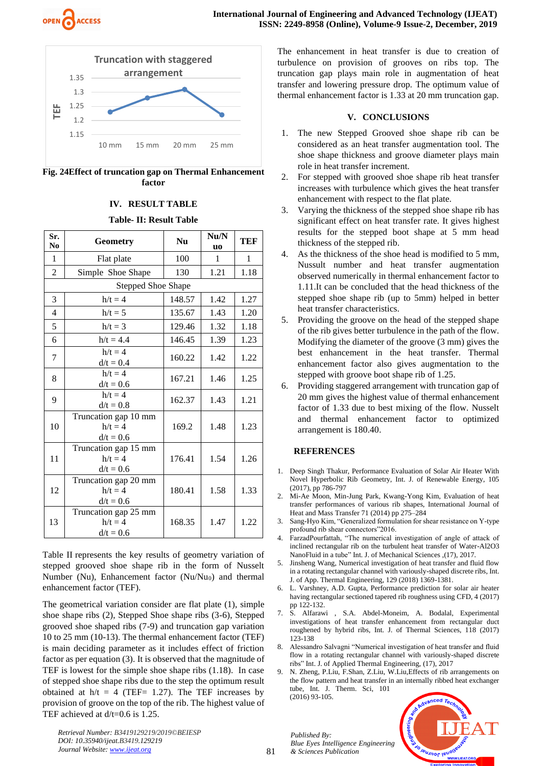



**Fig. 24Effect of truncation gap on Thermal Enhancement factor**

#### **IV. RESULT TABLE**

#### **Table- II: Result Table**

| Sr.<br>N <sub>0</sub>     | <b>Geometry</b>                                  | <b>Nu</b> | Nu/N<br><b>uo</b> | <b>TEF</b>   |  |  |  |
|---------------------------|--------------------------------------------------|-----------|-------------------|--------------|--|--|--|
| $\mathbf{1}$              | Flat plate                                       | 100       | 1                 | $\mathbf{1}$ |  |  |  |
| $\overline{c}$            | Simple Shoe Shape                                | 130       | 1.21              | 1.18         |  |  |  |
| <b>Stepped Shoe Shape</b> |                                                  |           |                   |              |  |  |  |
| 3                         | $h/t = 4$                                        | 148.57    | 1.42              | 1.27         |  |  |  |
| $\overline{4}$            | $h/t = 5$                                        | 135.67    | 1.43              | 1.20         |  |  |  |
| 5                         | $h/t = 3$                                        | 129.46    | 1.32              | 1.18         |  |  |  |
| 6                         | $h/t = 4.4$                                      | 146.45    | 1.39              | 1.23         |  |  |  |
| 7                         | $h/t = 4$<br>$d/t = 0.4$                         | 160.22    | 1.42              | 1.22         |  |  |  |
| 8                         | $h/t = 4$<br>$d/t = 0.6$                         | 167.21    | 1.46              | 1.25         |  |  |  |
| 9                         | $h/t = 4$<br>$d/t = 0.8$                         | 162.37    | 1.43              | 1.21         |  |  |  |
| 10                        | Truncation gap 10 mm<br>$h/t = 4$<br>$d/t = 0.6$ | 169.2     | 1.48              | 1.23         |  |  |  |
| 11                        | Truncation gap 15 mm<br>$h/t = 4$<br>$d/t = 0.6$ | 176.41    | 1.54              | 1.26         |  |  |  |
| 12                        | Truncation gap 20 mm<br>$h/t = 4$<br>$d/t = 0.6$ | 180.41    | 1.58              | 1.33         |  |  |  |
| 13                        | Truncation gap 25 mm<br>$h/t = 4$<br>$d/t = 0.6$ | 168.35    | 1.47              | 1.22         |  |  |  |

Table II represents the key results of geometry variation of stepped grooved shoe shape rib in the form of Nusselt Number (Nu), Enhancement factor (Nu/Nu<sub>0</sub>) and thermal enhancement factor (TEF).

The geometrical variation consider are flat plate (1), simple shoe shape ribs (2), Stepped Shoe shape ribs (3-6), Stepped grooved shoe shaped ribs (7-9) and truncation gap variation 10 to 25 mm (10-13). The thermal enhancement factor (TEF) is main deciding parameter as it includes effect of friction factor as per equation (3). It is observed that the magnitude of TEF is lowest for the simple shoe shape ribs (1.18). In case of stepped shoe shape ribs due to the step the optimum result obtained at  $h/t = 4$  (TEF= 1.27). The TEF increases by provision of groove on the top of the rib. The highest value of TEF achieved at d/t=0.6 is 1.25.

The enhancement in heat transfer is due to creation of turbulence on provision of grooves on ribs top. The truncation gap plays main role in augmentation of heat transfer and lowering pressure drop. The optimum value of thermal enhancement factor is 1.33 at 20 mm truncation gap.

### **V. CONCLUSIONS**

- 1. The new Stepped Grooved shoe shape rib can be considered as an heat transfer augmentation tool. The shoe shape thickness and groove diameter plays main role in heat transfer increment.
- 2. For stepped with grooved shoe shape rib heat transfer increases with turbulence which gives the heat transfer enhancement with respect to the flat plate.
- 3. Varying the thickness of the stepped shoe shape rib has significant effect on heat transfer rate. It gives highest results for the stepped boot shape at 5 mm head thickness of the stepped rib.
- 4. As the thickness of the shoe head is modified to 5 mm, Nussult number and heat transfer augmentation observed numerically in thermal enhancement factor to 1.11.It can be concluded that the head thickness of the stepped shoe shape rib (up to 5mm) helped in better heat transfer characteristics.
- 5. Providing the groove on the head of the stepped shape of the rib gives better turbulence in the path of the flow. Modifying the diameter of the groove (3 mm) gives the best enhancement in the heat transfer. Thermal enhancement factor also gives augmentation to the stepped with groove boot shape rib of 1.25.
- 6. Providing staggered arrangement with truncation gap of 20 mm gives the highest value of thermal enhancement factor of 1.33 due to best mixing of the flow. Nusselt and thermal enhancement factor to optimized arrangement is 180.40.

# **REFERENCES**

- 1. Deep Singh Thakur, Performance Evaluation of Solar Air Heater With Novel Hyperbolic Rib Geometry, Int. J. of Renewable Energy, 105 (2017), pp 786-797
- 2. Mi-Ae Moon, Min-Jung Park, Kwang-Yong Kim, Evaluation of heat transfer performances of various rib shapes, International Journal of Heat and Mass Transfer 71 (2014) pp 275–284
- 3. Sang-Hyo Kim, "Generalized formulation for shear resistance on Y-type profound rib shear connectors"2016.
- 4. FarzadPourfattah, "The numerical investigation of angle of attack of inclined rectangular rib on the turbulent heat transfer of Water-Al2O3 NanoFluid in a tube" Int. J. of Mechanical Sciences ,(17), 2017.
- 5. Jinsheng Wang, Numerical investigation of heat transfer and fluid flow in a rotating rectangular channel with variously-shaped discrete ribs, Int. J. of App. Thermal Engineering, 129 (2018) 1369-1381.
- 6. L. Varshney, A.D. Gupta, Performance prediction for solar air heater having rectangular sectioned tapered rib roughness using CFD, 4 (2017) pp 122-132.
- 7. S. Alfarawi , S.A. Abdel-Moneim, A. Bodalal, Experimental investigations of heat transfer enhancement from rectangular duct roughened by hybrid ribs, Int. J. of Thermal Sciences, 118 (2017) 123-138
- 8. Alessandro Salvagni "Numerical investigation of heat transfer and fluid flow in a rotating rectangular channel with variously-shaped discrete ribs" Int. J. of Applied Thermal Engineering, (17), 2017
- 9. N. Zheng, P.Liu, F.Shan, Z.Liu, W.Liu,Effects of rib arrangements on the flow pattern and heat transfer in an internally ribbed heat exchanger tube, Int. J. Therm. Sci, 101 (2016) 93-105.